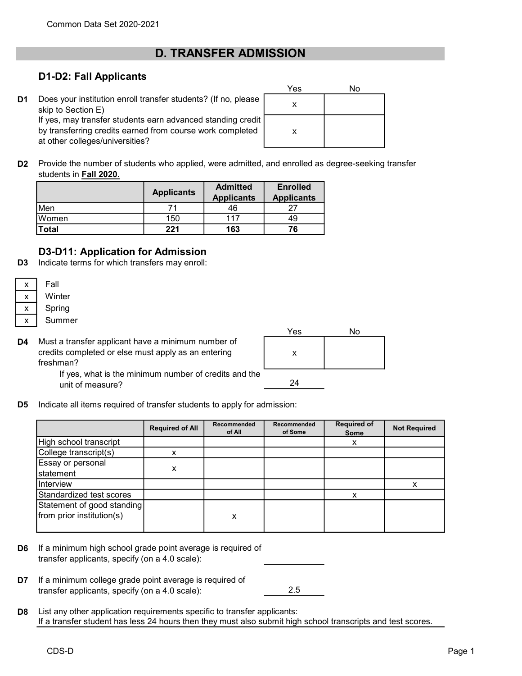# D. TRANSFER ADMISSION

### D1-D2: Fall Applicants

D<sub>1</sub> Does your institution enroll transfer students? (If no, please skip to Section E) If yes, may transfer students earn advanced standing credit by transferring credits earned from course work completed at other colleges/universities?

| Yes | No |
|-----|----|
| X   |    |
| X   |    |

D2 Provide the number of students who applied, were admitted, and enrolled as degree-seeking transfer students in Fall 2020.

|              | <b>Applicants</b> | <b>Admitted</b><br><b>Applicants</b> | <b>Enrolled</b><br><b>Applicants</b> |
|--------------|-------------------|--------------------------------------|--------------------------------------|
| Men          |                   | 46                                   |                                      |
| Women        | 150               | 117                                  | 49                                   |
| <b>Total</b> | 221               | 163                                  | 76                                   |

## D3-D11: Application for Admission

D3 Indicate terms for which transfers may enroll:

| x | Fall   |
|---|--------|
| x | Winter |
| x | Spring |
| x | Summer |

D4 Must a transfer applicant have a minimum number of credits completed or else must apply as an entering freshman?



If yes, what is the minimum number of credits and the unit of measure?

D<sub>5</sub> Indicate all items required of transfer students to apply for admission:

|                                                         | <b>Required of All</b> | Recommended<br>of All | Recommended<br>of Some | <b>Required of</b><br>Some | <b>Not Required</b> |
|---------------------------------------------------------|------------------------|-----------------------|------------------------|----------------------------|---------------------|
| High school transcript                                  |                        |                       |                        | х                          |                     |
| College transcript(s)                                   | x                      |                       |                        |                            |                     |
| Essay or personal<br>statement                          | х                      |                       |                        |                            |                     |
| Interview                                               |                        |                       |                        |                            | x                   |
| Standardized test scores                                |                        |                       |                        | x                          |                     |
| Statement of good standing<br>from prior institution(s) |                        | x                     |                        |                            |                     |

- D6 If a minimum high school grade point average is required of transfer applicants, specify (on a 4.0 scale):
- D7 2.5 If a minimum college grade point average is required of transfer applicants, specify (on a 4.0 scale):
- D<sub>8</sub> List any other application requirements specific to transfer applicants: If a transfer student has less 24 hours then they must also submit high school transcripts and test scores.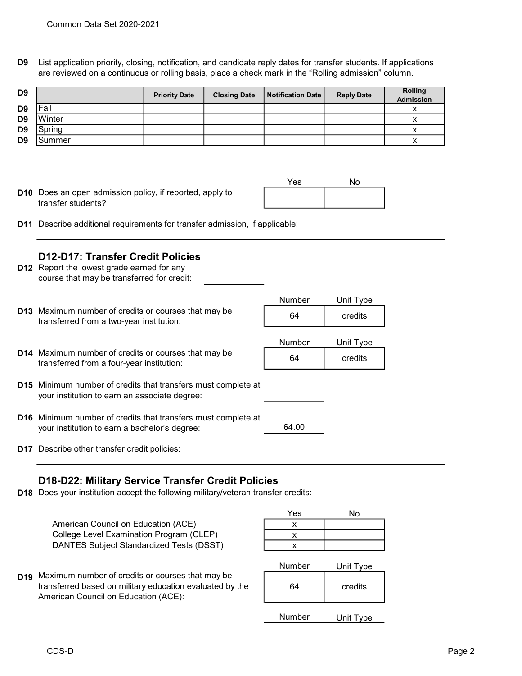D9 List application priority, closing, notification, and candidate reply dates for transfer students. If applications are reviewed on a continuous or rolling basis, place a check mark in the "Rolling admission" column.

| D <sub>9</sub> |        | <b>Priority Date</b> | <b>Closing Date</b> | Notification Date | <b>Reply Date</b> | <b>Rolling</b><br><b>Admission</b> |
|----------------|--------|----------------------|---------------------|-------------------|-------------------|------------------------------------|
| D <sub>9</sub> | Fall   |                      |                     |                   |                   |                                    |
| D <sub>9</sub> | Winter |                      |                     |                   |                   |                                    |
| D <sub>9</sub> | Spring |                      |                     |                   |                   |                                    |
| D <sub>9</sub> | Summer |                      |                     |                   |                   |                                    |

D10 Does an open admission policy, if reported, apply to transfer students?



D11 Describe additional requirements for transfer admission, if applicable:

#### D12-D17: Transfer Credit Policies

- **D12** Report the lowest grade earned for any course that may be transferred for credit:
- D13 64 credits Maximum number of credits or courses that may be transferred from a two-year institution:

| ічинірег | UTIIL Type |
|----------|------------|
| 64       | credits    |
| Number   | Unit Type  |
| GΛ       | orodito    |

64.00

Number Unit Type

- D14 64 credits Maximum number of credits or courses that may be transferred from a four-year institution:
- D15 Minimum number of credits that transfers must complete at your institution to earn an associate degree:
- D16 Minimum number of credits that transfers must complete at your institution to earn a bachelor's degree:
- D17 Describe other transfer credit policies:

#### D18-D22: Military Service Transfer Credit Policies

D18 Does your institution accept the following military/veteran transfer credits:

American Council on Education (ACE) College Level Examination Program (CLEP) DANTES Subject Standardized Tests (DSST)

D19 Maximum number of credits or courses that may be transferred based on military education evaluated by the American Council on Education (ACE):

| Yes | No |
|-----|----|
|     |    |
|     |    |
|     |    |

| Number | Unit Type |
|--------|-----------|
| 64     | credits   |
| Number | Unit Type |